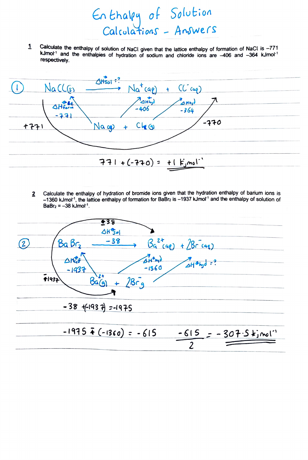Calculate the enthalpy of solution of NaCl given that the lattice enthalpy of formation of NaCl is  $-771$  $\mathbf{1}$ kJmol<sup>-1</sup> and the enthalpies of hydration of sodium and chloride ions are -406 and -364 kJmol<sup>-1</sup> respectively.

Enthalpy of Solution<br>Calculations - Anowers

| 4Hso1:                                                                          |  |
|---------------------------------------------------------------------------------|--|
| NaCLES<br>$Na^{t}(aq) + Cl^{c}(aq)$                                             |  |
| $A_{\Delta H h_1}$<br>3 Hh <sub>2</sub><br>OHform<br>$-406$<br>$-364$<br>$-771$ |  |
| $-770$<br>+771<br>Na cg<br>$Cl_{\mathcal{L}}(q)$                                |  |
|                                                                                 |  |
|                                                                                 |  |
| $771+(770) = 11$ $\overline{F}_{j}$ mol <sup>-1</sup>                           |  |

Calculate the enthalpy of hydration of bromide ions given that the hydration enthalpy of barium ions is  $\overline{2}$ -1360 kJmol<sup>-1</sup>, the lattice enthalpy of formation for BaBr<sub>2</sub> is -1937 kJmol<sup>-1</sup> and the enthalpy of solution of  $BaBr<sub>2</sub> = -38$  kJmol<sup>-1</sup>.

| +38                                                                                                                      |
|--------------------------------------------------------------------------------------------------------------------------|
| $4H\frac{1}{50}$                                                                                                         |
| $-38$<br>$Bq^{2*}(aq) + \sqrt{Br(aq)}$<br>BaBr <sub>2</sub>                                                              |
| $\Delta H_{\text{co}}^{\theta}$<br>$4H^{0}$ hyd<br>$A = \frac{1}{2}$<br>$-1360$<br>$-1937$<br>F1932<br>$28 - 9$<br>5a(a) |
| $-38$ + $-1937$ = $-1975$                                                                                                |
| $-1975$ $\bar{f}$ (-1360) = -615<br>$-615 = -307.5$ $kj$ mol <sup>-1</sup>                                               |
|                                                                                                                          |